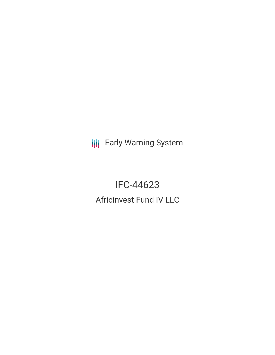**III** Early Warning System

IFC-44623 Africinvest Fund IV LLC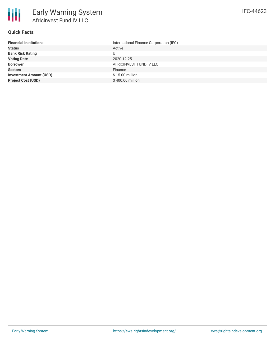

### **Quick Facts**

| <b>Financial Institutions</b>  | International Finance Corporation (IFC) |
|--------------------------------|-----------------------------------------|
| <b>Status</b>                  | Active                                  |
| <b>Bank Risk Rating</b>        |                                         |
| <b>Voting Date</b>             | 2020-12-25                              |
| <b>Borrower</b>                | AFRICINVEST FUND IV LLC                 |
| <b>Sectors</b>                 | Finance                                 |
| <b>Investment Amount (USD)</b> | \$15.00 million                         |
| <b>Project Cost (USD)</b>      | \$400.00 million                        |
|                                |                                         |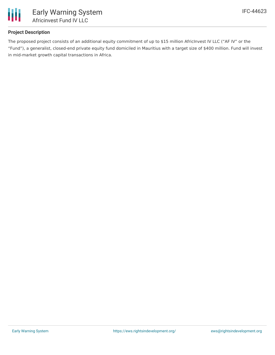

# **Project Description**

The proposed project consists of an additional equity commitment of up to \$15 million AfricInvest IV LLC ("AF IV" or the "Fund"), a generalist, closed-end private equity fund domiciled in Mauritius with a target size of \$400 million. Fund will invest in mid-market growth capital transactions in Africa.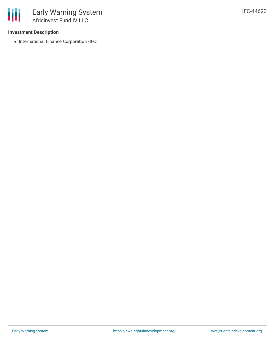## **Investment Description**

• International Finance Corporation (IFC)